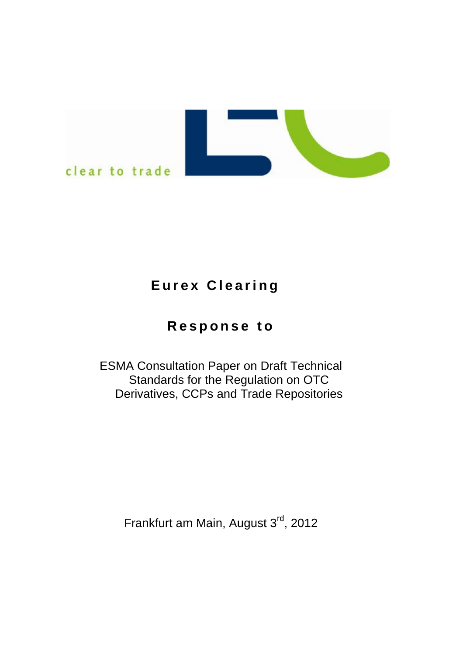

# **E u r e x C l e a ri ng**

# **R e s p o n s e t o**

ESMA Consultation Paper on Draft Technical Standards for the Regulation on OTC Derivatives, CCPs and Trade Repositories

Frankfurt am Main, August 3<sup>rd</sup>, 2012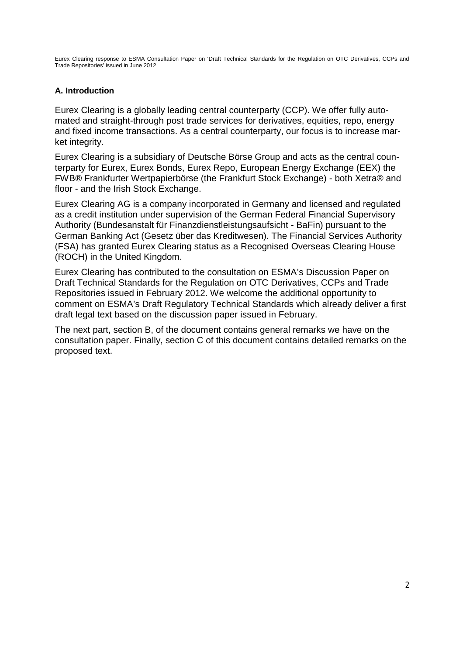#### **A. Introduction**

Eurex Clearing is a globally leading central counterparty (CCP). We offer fully automated and straight-through post trade services for derivatives, equities, repo, energy and fixed income transactions. As a central counterparty, our focus is to increase market integrity.

Eurex Clearing is a subsidiary of Deutsche Börse Group and acts as the central counterparty for Eurex, Eurex Bonds, Eurex Repo, European Energy Exchange (EEX) the FWB® Frankfurter Wertpapierbörse (the Frankfurt Stock Exchange) - both Xetra® and floor - and the Irish Stock Exchange.

Eurex Clearing AG is a company incorporated in Germany and licensed and regulated as a credit institution under supervision of the German Federal Financial Supervisory Authority (Bundesanstalt für Finanzdienstleistungsaufsicht - BaFin) pursuant to the German Banking Act (Gesetz über das Kreditwesen). The Financial Services Authority (FSA) has granted Eurex Clearing status as a Recognised Overseas Clearing House (ROCH) in the United Kingdom.

Eurex Clearing has contributed to the consultation on ESMA's Discussion Paper on Draft Technical Standards for the Regulation on OTC Derivatives, CCPs and Trade Repositories issued in February 2012. We welcome the additional opportunity to comment on ESMA's Draft Regulatory Technical Standards which already deliver a first draft legal text based on the discussion paper issued in February.

The next part, section B, of the document contains general remarks we have on the consultation paper. Finally, section C of this document contains detailed remarks on the proposed text.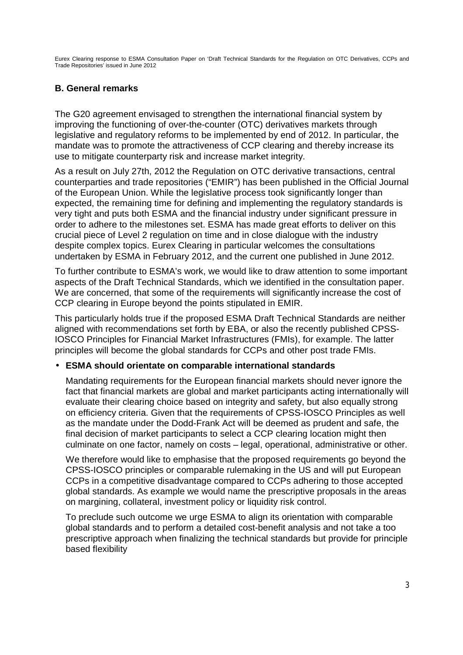# **B. General remarks**

The G20 agreement envisaged to strengthen the international financial system by improving the functioning of over-the-counter (OTC) derivatives markets through legislative and regulatory reforms to be implemented by end of 2012. In particular, the mandate was to promote the attractiveness of CCP clearing and thereby increase its use to mitigate counterparty risk and increase market integrity.

As a result on July 27th, 2012 the Regulation on OTC derivative transactions, central counterparties and trade repositories ("EMIR") has been published in the Official Journal of the European Union. While the legislative process took significantly longer than expected, the remaining time for defining and implementing the regulatory standards is very tight and puts both ESMA and the financial industry under significant pressure in order to adhere to the milestones set. ESMA has made great efforts to deliver on this crucial piece of Level 2 regulation on time and in close dialogue with the industry despite complex topics. Eurex Clearing in particular welcomes the consultations undertaken by ESMA in February 2012, and the current one published in June 2012.

To further contribute to ESMA's work, we would like to draw attention to some important aspects of the Draft Technical Standards, which we identified in the consultation paper. We are concerned, that some of the requirements will significantly increase the cost of CCP clearing in Europe beyond the points stipulated in EMIR.

This particularly holds true if the proposed ESMA Draft Technical Standards are neither aligned with recommendations set forth by EBA, or also the recently published CPSS-IOSCO Principles for Financial Market Infrastructures (FMIs), for example. The latter principles will become the global standards for CCPs and other post trade FMIs.

# • **ESMA should orientate on comparable international standards**

Mandating requirements for the European financial markets should never ignore the fact that financial markets are global and market participants acting internationally will evaluate their clearing choice based on integrity and safety, but also equally strong on efficiency criteria. Given that the requirements of CPSS-IOSCO Principles as well as the mandate under the Dodd-Frank Act will be deemed as prudent and safe, the final decision of market participants to select a CCP clearing location might then culminate on one factor, namely on costs – legal, operational, administrative or other.

We therefore would like to emphasise that the proposed requirements go beyond the CPSS-IOSCO principles or comparable rulemaking in the US and will put European CCPs in a competitive disadvantage compared to CCPs adhering to those accepted global standards. As example we would name the prescriptive proposals in the areas on margining, collateral, investment policy or liquidity risk control.

To preclude such outcome we urge ESMA to align its orientation with comparable global standards and to perform a detailed cost-benefit analysis and not take a too prescriptive approach when finalizing the technical standards but provide for principle based flexibility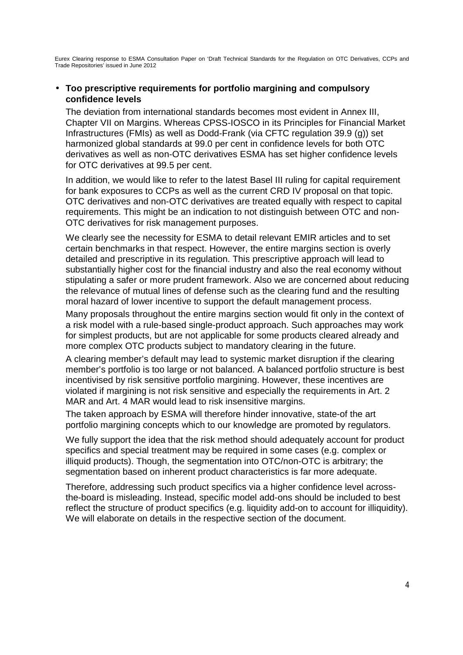### • **Too prescriptive requirements for portfolio margining and compulsory confidence levels**

The deviation from international standards becomes most evident in Annex III, Chapter VII on Margins. Whereas CPSS-IOSCO in its Principles for Financial Market Infrastructures (FMIs) as well as Dodd-Frank (via CFTC regulation 39.9 (g)) set harmonized global standards at 99.0 per cent in confidence levels for both OTC derivatives as well as non-OTC derivatives ESMA has set higher confidence levels for OTC derivatives at 99.5 per cent.

In addition, we would like to refer to the latest Basel III ruling for capital requirement for bank exposures to CCPs as well as the current CRD IV proposal on that topic. OTC derivatives and non-OTC derivatives are treated equally with respect to capital requirements. This might be an indication to not distinguish between OTC and non-OTC derivatives for risk management purposes.

We clearly see the necessity for ESMA to detail relevant EMIR articles and to set certain benchmarks in that respect. However, the entire margins section is overly detailed and prescriptive in its regulation. This prescriptive approach will lead to substantially higher cost for the financial industry and also the real economy without stipulating a safer or more prudent framework. Also we are concerned about reducing the relevance of mutual lines of defense such as the clearing fund and the resulting moral hazard of lower incentive to support the default management process.

Many proposals throughout the entire margins section would fit only in the context of a risk model with a rule-based single-product approach. Such approaches may work for simplest products, but are not applicable for some products cleared already and more complex OTC products subject to mandatory clearing in the future.

A clearing member's default may lead to systemic market disruption if the clearing member's portfolio is too large or not balanced. A balanced portfolio structure is best incentivised by risk sensitive portfolio margining. However, these incentives are violated if margining is not risk sensitive and especially the requirements in Art. 2 MAR and Art. 4 MAR would lead to risk insensitive margins.

The taken approach by ESMA will therefore hinder innovative, state-of the art portfolio margining concepts which to our knowledge are promoted by regulators.

We fully support the idea that the risk method should adequately account for product specifics and special treatment may be required in some cases (e.g. complex or illiquid products). Though, the segmentation into OTC/non-OTC is arbitrary; the segmentation based on inherent product characteristics is far more adequate.

Therefore, addressing such product specifics via a higher confidence level acrossthe-board is misleading. Instead, specific model add-ons should be included to best reflect the structure of product specifics (e.g. liquidity add-on to account for illiquidity). We will elaborate on details in the respective section of the document.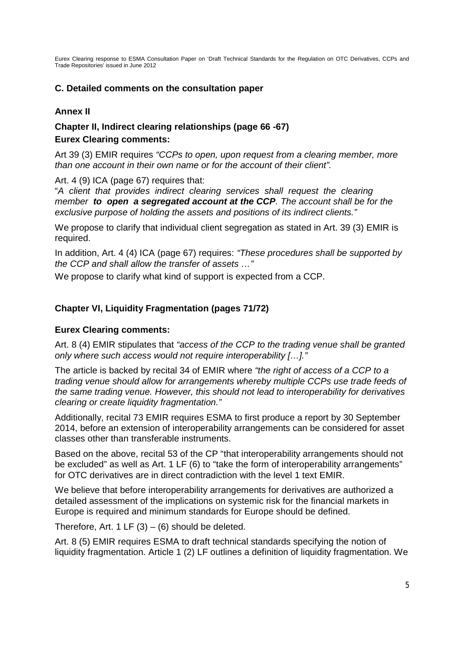# **C. Detailed comments on the consultation paper**

# **Annex II**

# **Chapter II, Indirect clearing relationships (page 66 -67) Eurex Clearing comments:**

Art 39 (3) EMIR requires *"CCPs to open, upon request from a clearing member, more than one account in their own name or for the account of their client".*

Art. 4 (9) ICA (page 67) requires that:

"*A client that provides indirect clearing services shall request the clearing member to open a segregated account at the CCP. The account shall be for the exclusive purpose of holding the assets and positions of its indirect clients."*

We propose to clarify that individual client segregation as stated in Art. 39 (3) EMIR is required.

In addition, Art. 4 (4) ICA (page 67) requires: *"These procedures shall be supported by the CCP and shall allow the transfer of assets …"*

We propose to clarify what kind of support is expected from a CCP.

# **Chapter VI, Liquidity Fragmentation (pages 71/72)**

# **Eurex Clearing comments:**

Art. 8 (4) EMIR stipulates that *"access of the CCP to the trading venue shall be granted only where such access would not require interoperability […]."* 

The article is backed by recital 34 of EMIR where *"the right of access of a CCP to a trading venue should allow for arrangements whereby multiple CCPs use trade feeds of the same trading venue. However, this should not lead to interoperability for derivatives clearing or create liquidity fragmentation."* 

Additionally, recital 73 EMIR requires ESMA to first produce a report by 30 September 2014, before an extension of interoperability arrangements can be considered for asset classes other than transferable instruments.

Based on the above, recital 53 of the CP "that interoperability arrangements should not be excluded" as well as Art. 1 LF (6) to "take the form of interoperability arrangements" for OTC derivatives are in direct contradiction with the level 1 text EMIR.

We believe that before interoperability arrangements for derivatives are authorized a detailed assessment of the implications on systemic risk for the financial markets in Europe is required and minimum standards for Europe should be defined.

Therefore, Art. 1 LF  $(3) - (6)$  should be deleted.

Art. 8 (5) EMIR requires ESMA to draft technical standards specifying the notion of liquidity fragmentation. Article 1 (2) LF outlines a definition of liquidity fragmentation. We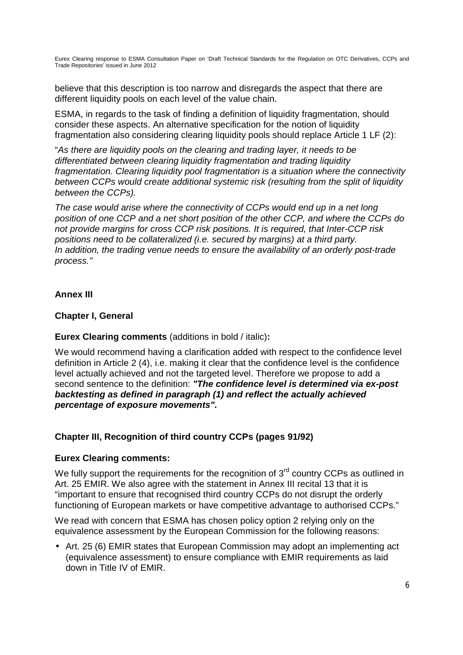believe that this description is too narrow and disregards the aspect that there are different liquidity pools on each level of the value chain.

ESMA, in regards to the task of finding a definition of liquidity fragmentation, should consider these aspects. An alternative specification for the notion of liquidity fragmentation also considering clearing liquidity pools should replace Article 1 LF (2):

"*As there are liquidity pools on the clearing and trading layer, it needs to be differentiated between clearing liquidity fragmentation and trading liquidity fragmentation. Clearing liquidity pool fragmentation is a situation where the connectivity between CCPs would create additional systemic risk (resulting from the split of liquidity between the CCPs).* 

*The case would arise where the connectivity of CCPs would end up in a net long position of one CCP and a net short position of the other CCP, and where the CCPs do not provide margins for cross CCP risk positions. It is required, that Inter-CCP risk positions need to be collateralized (i.e. secured by margins) at a third party. In addition, the trading venue needs to ensure the availability of an orderly post-trade process."* 

# **Annex III**

# **Chapter I, General**

# **Eurex Clearing comments** (additions in bold / italic)**:**

We would recommend having a clarification added with respect to the confidence level definition in Article 2 (4), i.e. making it clear that the confidence level is the confidence level actually achieved and not the targeted level. Therefore we propose to add a second sentence to the definition: *"The confidence level is determined via ex-post backtesting as defined in paragraph (1) and reflect the actually achieved percentage of exposure movements".* 

# **Chapter III, Recognition of third country CCPs (pages 91/92)**

#### **Eurex Clearing comments:**

We fully support the requirements for the recognition of  $3<sup>rd</sup>$  country CCPs as outlined in Art. 25 EMIR. We also agree with the statement in Annex III recital 13 that it is "important to ensure that recognised third country CCPs do not disrupt the orderly functioning of European markets or have competitive advantage to authorised CCPs."

We read with concern that ESMA has chosen policy option 2 relying only on the equivalence assessment by the European Commission for the following reasons:

• Art. 25 (6) EMIR states that European Commission may adopt an implementing act (equivalence assessment) to ensure compliance with EMIR requirements as laid down in Title IV of EMIR.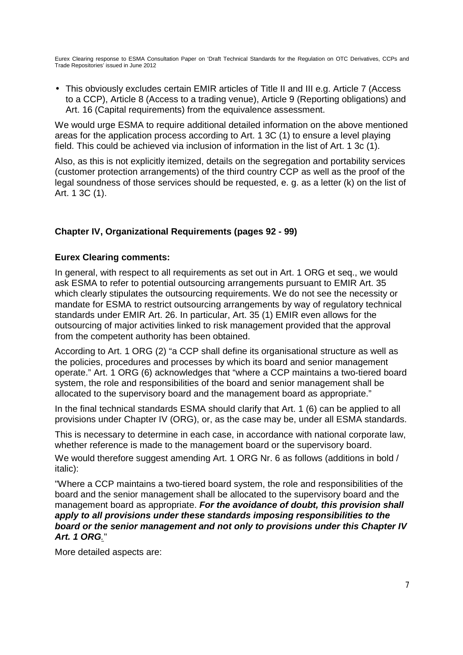• This obviously excludes certain EMIR articles of Title II and III e.g. Article 7 (Access to a CCP), Article 8 (Access to a trading venue), Article 9 (Reporting obligations) and Art. 16 (Capital requirements) from the equivalence assessment.

We would urge ESMA to require additional detailed information on the above mentioned areas for the application process according to Art. 1 3C (1) to ensure a level playing field. This could be achieved via inclusion of information in the list of Art. 1 3c (1).

Also, as this is not explicitly itemized, details on the segregation and portability services (customer protection arrangements) of the third country CCP as well as the proof of the legal soundness of those services should be requested, e. g. as a letter (k) on the list of Art. 1 3C (1).

# **Chapter IV, Organizational Requirements (pages 92 - 99)**

#### **Eurex Clearing comments:**

In general, with respect to all requirements as set out in Art. 1 ORG et seq., we would ask ESMA to refer to potential outsourcing arrangements pursuant to EMIR Art. 35 which clearly stipulates the outsourcing requirements. We do not see the necessity or mandate for ESMA to restrict outsourcing arrangements by way of regulatory technical standards under EMIR Art. 26. In particular, Art. 35 (1) EMIR even allows for the outsourcing of major activities linked to risk management provided that the approval from the competent authority has been obtained.

According to Art. 1 ORG (2) "a CCP shall define its organisational structure as well as the policies, procedures and processes by which its board and senior management operate." Art. 1 ORG (6) acknowledges that "where a CCP maintains a two-tiered board system, the role and responsibilities of the board and senior management shall be allocated to the supervisory board and the management board as appropriate."

In the final technical standards ESMA should clarify that Art. 1 (6) can be applied to all provisions under Chapter IV (ORG), or, as the case may be, under all ESMA standards.

This is necessary to determine in each case, in accordance with national corporate law, whether reference is made to the management board or the supervisory board.

We would therefore suggest amending Art. 1 ORG Nr. 6 as follows (additions in bold / italic):

"Where a CCP maintains a two-tiered board system, the role and responsibilities of the board and the senior management shall be allocated to the supervisory board and the management board as appropriate. *For the avoidance of doubt, this provision shall apply to all provisions under these standards imposing responsibilities to the board or the senior management and not only to provisions under this Chapter IV Art. 1 ORG.*"

More detailed aspects are: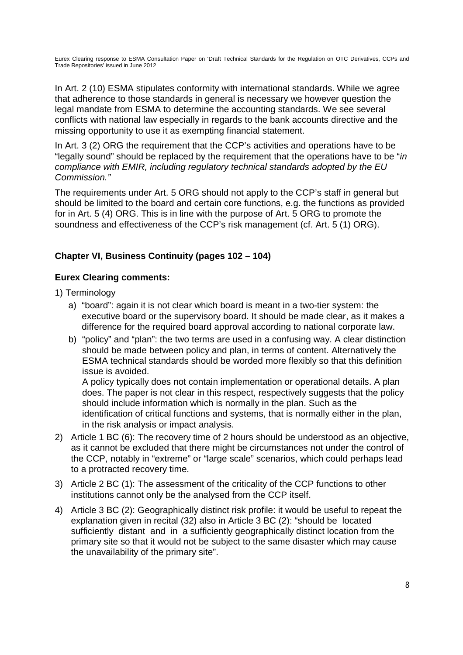In Art. 2 (10) ESMA stipulates conformity with international standards. While we agree that adherence to those standards in general is necessary we however question the legal mandate from ESMA to determine the accounting standards. We see several conflicts with national law especially in regards to the bank accounts directive and the missing opportunity to use it as exempting financial statement.

In Art. 3 (2) ORG the requirement that the CCP's activities and operations have to be "legally sound" should be replaced by the requirement that the operations have to be "*in compliance with EMIR, including regulatory technical standards adopted by the EU Commission."* 

The requirements under Art. 5 ORG should not apply to the CCP's staff in general but should be limited to the board and certain core functions, e.g. the functions as provided for in Art. 5 (4) ORG. This is in line with the purpose of Art. 5 ORG to promote the soundness and effectiveness of the CCP's risk management (cf. Art. 5 (1) ORG).

# **Chapter VI, Business Continuity (pages 102 – 104)**

# **Eurex Clearing comments:**

- 1) Terminology
	- a) "board": again it is not clear which board is meant in a two-tier system: the executive board or the supervisory board. It should be made clear, as it makes a difference for the required board approval according to national corporate law.
	- b) "policy" and "plan": the two terms are used in a confusing way. A clear distinction should be made between policy and plan, in terms of content. Alternatively the ESMA technical standards should be worded more flexibly so that this definition issue is avoided.

A policy typically does not contain implementation or operational details. A plan does. The paper is not clear in this respect, respectively suggests that the policy should include information which is normally in the plan. Such as the identification of critical functions and systems, that is normally either in the plan, in the risk analysis or impact analysis.

- 2) Article 1 BC (6): The recovery time of 2 hours should be understood as an objective, as it cannot be excluded that there might be circumstances not under the control of the CCP, notably in "extreme" or "large scale" scenarios, which could perhaps lead to a protracted recovery time.
- 3) Article 2 BC (1): The assessment of the criticality of the CCP functions to other institutions cannot only be the analysed from the CCP itself.
- 4) Article 3 BC (2): Geographically distinct risk profile: it would be useful to repeat the explanation given in recital (32) also in Article 3 BC (2): "should be located sufficiently distant and in a sufficiently geographically distinct location from the primary site so that it would not be subject to the same disaster which may cause the unavailability of the primary site".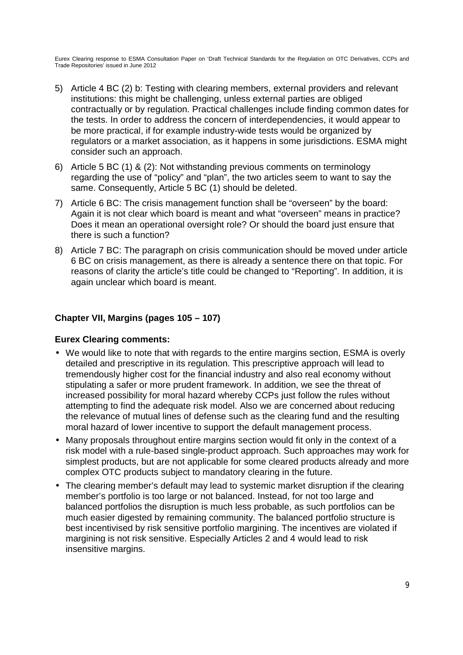- 5) Article 4 BC (2) b: Testing with clearing members, external providers and relevant institutions: this might be challenging, unless external parties are obliged contractually or by regulation. Practical challenges include finding common dates for the tests. In order to address the concern of interdependencies, it would appear to be more practical, if for example industry-wide tests would be organized by regulators or a market association, as it happens in some jurisdictions. ESMA might consider such an approach.
- 6) Article 5 BC (1) & (2): Not withstanding previous comments on terminology regarding the use of "policy" and "plan", the two articles seem to want to say the same. Consequently, Article 5 BC (1) should be deleted.
- 7) Article 6 BC: The crisis management function shall be "overseen" by the board: Again it is not clear which board is meant and what "overseen" means in practice? Does it mean an operational oversight role? Or should the board just ensure that there is such a function?
- 8) Article 7 BC: The paragraph on crisis communication should be moved under article 6 BC on crisis management, as there is already a sentence there on that topic. For reasons of clarity the article's title could be changed to "Reporting". In addition, it is again unclear which board is meant.

# **Chapter VII, Margins (pages 105 – 107)**

# **Eurex Clearing comments:**

- We would like to note that with regards to the entire margins section, ESMA is overly detailed and prescriptive in its regulation. This prescriptive approach will lead to tremendously higher cost for the financial industry and also real economy without stipulating a safer or more prudent framework. In addition, we see the threat of increased possibility for moral hazard whereby CCPs just follow the rules without attempting to find the adequate risk model. Also we are concerned about reducing the relevance of mutual lines of defense such as the clearing fund and the resulting moral hazard of lower incentive to support the default management process.
- Many proposals throughout entire margins section would fit only in the context of a risk model with a rule-based single-product approach. Such approaches may work for simplest products, but are not applicable for some cleared products already and more complex OTC products subject to mandatory clearing in the future.
- The clearing member's default may lead to systemic market disruption if the clearing member's portfolio is too large or not balanced. Instead, for not too large and balanced portfolios the disruption is much less probable, as such portfolios can be much easier digested by remaining community. The balanced portfolio structure is best incentivised by risk sensitive portfolio margining. The incentives are violated if margining is not risk sensitive. Especially Articles 2 and 4 would lead to risk insensitive margins.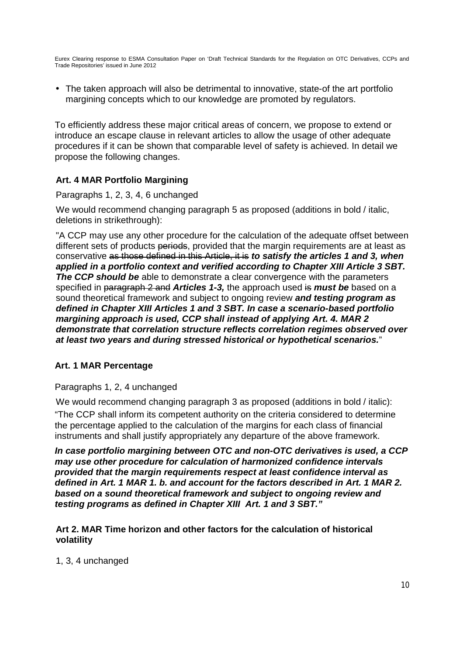• The taken approach will also be detrimental to innovative, state-of the art portfolio margining concepts which to our knowledge are promoted by regulators.

To efficiently address these major critical areas of concern, we propose to extend or introduce an escape clause in relevant articles to allow the usage of other adequate procedures if it can be shown that comparable level of safety is achieved. In detail we propose the following changes.

# **Art. 4 MAR Portfolio Margining**

Paragraphs 1, 2, 3, 4, 6 unchanged

We would recommend changing paragraph 5 as proposed (additions in bold / italic, deletions in strikethrough):

"A CCP may use any other procedure for the calculation of the adequate offset between different sets of products periods, provided that the margin requirements are at least as conservative as those defined in this Article, it is *to satisfy the articles 1 and 3, when applied in a portfolio context and verified according to Chapter XIII Article 3 SBT. The CCP should be* able to demonstrate a clear convergence with the parameters specified in paragraph 2 and *Articles 1-3,* the approach used is *must be* based on a sound theoretical framework and subject to ongoing review *and testing program as defined in Chapter XIII Articles 1 and 3 SBT. In case a scenario-based portfolio margining approach is used, CCP shall instead of applying Art. 4. MAR 2 demonstrate that correlation structure reflects correlation regimes observed over at least two years and during stressed historical or hypothetical scenarios.*"

# **Art. 1 MAR Percentage**

#### Paragraphs 1, 2, 4 unchanged

We would recommend changing paragraph 3 as proposed (additions in bold / italic): "The CCP shall inform its competent authority on the criteria considered to determine the percentage applied to the calculation of the margins for each class of financial instruments and shall justify appropriately any departure of the above framework.

*In case portfolio margining between OTC and non-OTC derivatives is used, a CCP may use other procedure for calculation of harmonized confidence intervals provided that the margin requirements respect at least confidence interval as defined in Art. 1 MAR 1. b. and account for the factors described in Art. 1 MAR 2. based on a sound theoretical framework and subject to ongoing review and testing programs as defined in Chapter XIII Art. 1 and 3 SBT."* 

#### **Art 2. MAR Time horizon and other factors for the calculation of historical volatility**

1, 3, 4 unchanged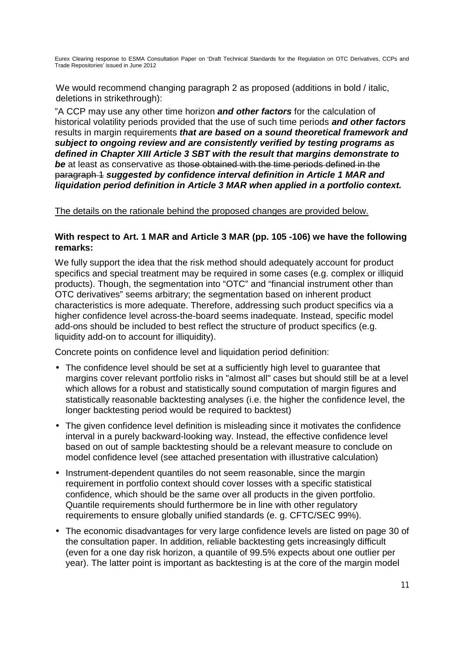We would recommend changing paragraph 2 as proposed (additions in bold / italic, deletions in strikethrough):

"A CCP may use any other time horizon *and other factors* for the calculation of historical volatility periods provided that the use of such time periods *and other factors* results in margin requirements *that are based on a sound theoretical framework and subject to ongoing review and are consistently verified by testing programs as defined in Chapter XIII Article 3 SBT with the result that margins demonstrate to be* at least as conservative as those obtained with the time periods defined in the paragraph 1 *suggested by confidence interval definition in Article 1 MAR and liquidation period definition in Article 3 MAR when applied in a portfolio context.*

The details on the rationale behind the proposed changes are provided below.

### **With respect to Art. 1 MAR and Article 3 MAR (pp. 105 -106) we have the following remarks:**

We fully support the idea that the risk method should adequately account for product specifics and special treatment may be required in some cases (e.g. complex or illiquid products). Though, the segmentation into "OTC" and "financial instrument other than OTC derivatives" seems arbitrary; the segmentation based on inherent product characteristics is more adequate. Therefore, addressing such product specifics via a higher confidence level across-the-board seems inadequate. Instead, specific model add-ons should be included to best reflect the structure of product specifics (e.g. liquidity add-on to account for illiquidity).

Concrete points on confidence level and liquidation period definition:

- The confidence level should be set at a sufficiently high level to guarantee that margins cover relevant portfolio risks in "almost all" cases but should still be at a level which allows for a robust and statistically sound computation of margin figures and statistically reasonable backtesting analyses (i.e. the higher the confidence level, the longer backtesting period would be required to backtest)
- The given confidence level definition is misleading since it motivates the confidence interval in a purely backward-looking way. Instead, the effective confidence level based on out of sample backtesting should be a relevant measure to conclude on model confidence level (see attached presentation with illustrative calculation)
- Instrument-dependent quantiles do not seem reasonable, since the margin requirement in portfolio context should cover losses with a specific statistical confidence, which should be the same over all products in the given portfolio. Quantile requirements should furthermore be in line with other regulatory requirements to ensure globally unified standards (e. g. CFTC/SEC 99%).
- The economic disadvantages for very large confidence levels are listed on page 30 of the consultation paper. In addition, reliable backtesting gets increasingly difficult (even for a one day risk horizon, a quantile of 99.5% expects about one outlier per year). The latter point is important as backtesting is at the core of the margin model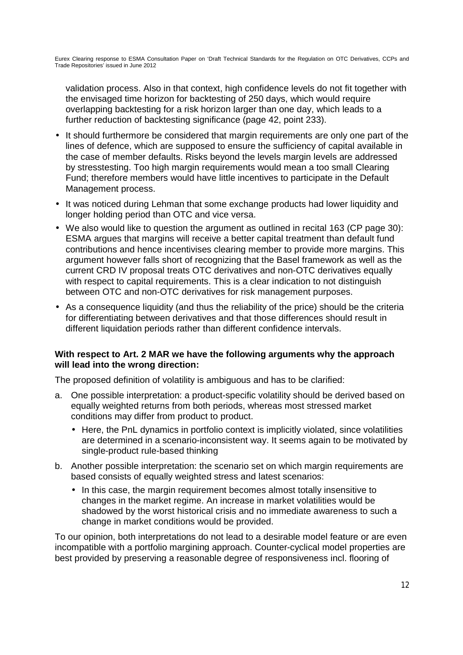validation process. Also in that context, high confidence levels do not fit together with the envisaged time horizon for backtesting of 250 days, which would require overlapping backtesting for a risk horizon larger than one day, which leads to a further reduction of backtesting significance (page 42, point 233).

- It should furthermore be considered that margin requirements are only one part of the lines of defence, which are supposed to ensure the sufficiency of capital available in the case of member defaults. Risks beyond the levels margin levels are addressed by stresstesting. Too high margin requirements would mean a too small Clearing Fund; therefore members would have little incentives to participate in the Default Management process.
- It was noticed during Lehman that some exchange products had lower liquidity and longer holding period than OTC and vice versa.
- We also would like to question the argument as outlined in recital 163 (CP page 30): ESMA argues that margins will receive a better capital treatment than default fund contributions and hence incentivises clearing member to provide more margins. This argument however falls short of recognizing that the Basel framework as well as the current CRD IV proposal treats OTC derivatives and non-OTC derivatives equally with respect to capital requirements. This is a clear indication to not distinguish between OTC and non-OTC derivatives for risk management purposes.
- As a consequence liquidity (and thus the reliability of the price) should be the criteria for differentiating between derivatives and that those differences should result in different liquidation periods rather than different confidence intervals.

#### **With respect to Art. 2 MAR we have the following arguments why the approach will lead into the wrong direction:**

The proposed definition of volatility is ambiguous and has to be clarified:

- a. One possible interpretation: a product-specific volatility should be derived based on equally weighted returns from both periods, whereas most stressed market conditions may differ from product to product.
	- Here, the PnL dynamics in portfolio context is implicitly violated, since volatilities are determined in a scenario-inconsistent way. It seems again to be motivated by single-product rule-based thinking
- b. Another possible interpretation: the scenario set on which margin requirements are based consists of equally weighted stress and latest scenarios:
	- In this case, the margin requirement becomes almost totally insensitive to changes in the market regime. An increase in market volatilities would be shadowed by the worst historical crisis and no immediate awareness to such a change in market conditions would be provided.

To our opinion, both interpretations do not lead to a desirable model feature or are even incompatible with a portfolio margining approach. Counter-cyclical model properties are best provided by preserving a reasonable degree of responsiveness incl. flooring of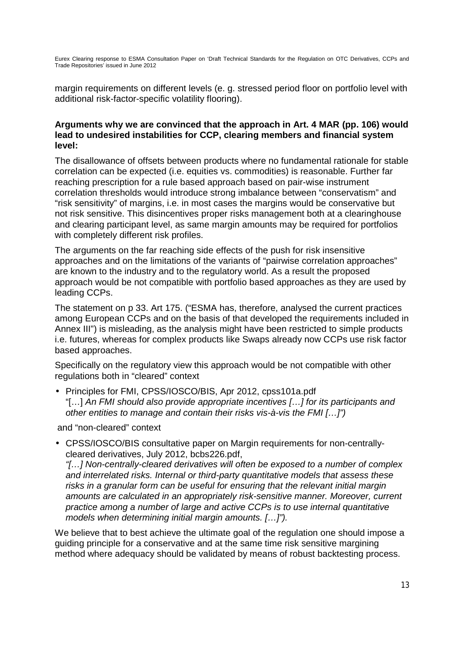margin requirements on different levels (e. g. stressed period floor on portfolio level with additional risk-factor-specific volatility flooring).

#### **Arguments why we are convinced that the approach in Art. 4 MAR (pp. 106) would lead to undesired instabilities for CCP, clearing members and financial system level:**

The disallowance of offsets between products where no fundamental rationale for stable correlation can be expected (i.e. equities vs. commodities) is reasonable. Further far reaching prescription for a rule based approach based on pair-wise instrument correlation thresholds would introduce strong imbalance between "conservatism" and "risk sensitivity" of margins, i.e. in most cases the margins would be conservative but not risk sensitive. This disincentives proper risks management both at a clearinghouse and clearing participant level, as same margin amounts may be required for portfolios with completely different risk profiles.

The arguments on the far reaching side effects of the push for risk insensitive approaches and on the limitations of the variants of "pairwise correlation approaches" are known to the industry and to the regulatory world. As a result the proposed approach would be not compatible with portfolio based approaches as they are used by leading CCPs.

The statement on p 33. Art 175. ("ESMA has, therefore, analysed the current practices among European CCPs and on the basis of that developed the requirements included in Annex III") is misleading, as the analysis might have been restricted to simple products i.e. futures, whereas for complex products like Swaps already now CCPs use risk factor based approaches.

Specifically on the regulatory view this approach would be not compatible with other regulations both in "cleared" context

• Principles for FMI, CPSS/IOSCO/BIS, Apr 2012, cpss101a.pdf "[…] *An FMI should also provide appropriate incentives […] for its participants and other entities to manage and contain their risks vis-à-vis the FMI […]")*

and "non-cleared" context

• CPSS/IOSCO/BIS consultative paper on Margin requirements for non-centrallycleared derivatives, July 2012, bcbs226.pdf,

*"[…] Non-centrally-cleared derivatives will often be exposed to a number of complex and interrelated risks. Internal or third-party quantitative models that assess these risks in a granular form can be useful for ensuring that the relevant initial margin amounts are calculated in an appropriately risk-sensitive manner. Moreover, current practice among a number of large and active CCPs is to use internal quantitative models when determining initial margin amounts. […]").*

We believe that to best achieve the ultimate goal of the regulation one should impose a guiding principle for a conservative and at the same time risk sensitive margining method where adequacy should be validated by means of robust backtesting process.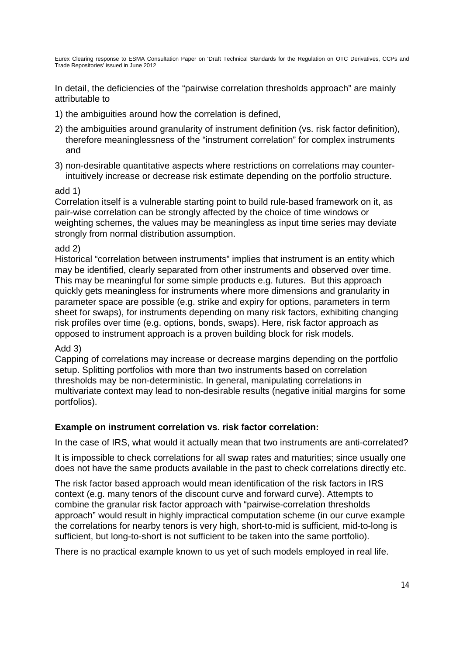In detail, the deficiencies of the "pairwise correlation thresholds approach" are mainly attributable to

- 1) the ambiguities around how the correlation is defined,
- 2) the ambiguities around granularity of instrument definition (vs. risk factor definition), therefore meaninglessness of the "instrument correlation" for complex instruments and
- 3) non-desirable quantitative aspects where restrictions on correlations may counterintuitively increase or decrease risk estimate depending on the portfolio structure.

#### add 1)

Correlation itself is a vulnerable starting point to build rule-based framework on it, as pair-wise correlation can be strongly affected by the choice of time windows or weighting schemes, the values may be meaningless as input time series may deviate strongly from normal distribution assumption.

#### add 2)

Historical "correlation between instruments" implies that instrument is an entity which may be identified, clearly separated from other instruments and observed over time. This may be meaningful for some simple products e.g. futures. But this approach quickly gets meaningless for instruments where more dimensions and granularity in parameter space are possible (e.g. strike and expiry for options, parameters in term sheet for swaps), for instruments depending on many risk factors, exhibiting changing risk profiles over time (e.g. options, bonds, swaps). Here, risk factor approach as opposed to instrument approach is a proven building block for risk models.

#### Add 3)

Capping of correlations may increase or decrease margins depending on the portfolio setup. Splitting portfolios with more than two instruments based on correlation thresholds may be non-deterministic. In general, manipulating correlations in multivariate context may lead to non-desirable results (negative initial margins for some portfolios).

# **Example on instrument correlation vs. risk factor correlation:**

In the case of IRS, what would it actually mean that two instruments are anti-correlated?

It is impossible to check correlations for all swap rates and maturities; since usually one does not have the same products available in the past to check correlations directly etc.

The risk factor based approach would mean identification of the risk factors in IRS context (e.g. many tenors of the discount curve and forward curve). Attempts to combine the granular risk factor approach with "pairwise-correlation thresholds approach" would result in highly impractical computation scheme (in our curve example the correlations for nearby tenors is very high, short-to-mid is sufficient, mid-to-long is sufficient, but long-to-short is not sufficient to be taken into the same portfolio).

There is no practical example known to us yet of such models employed in real life.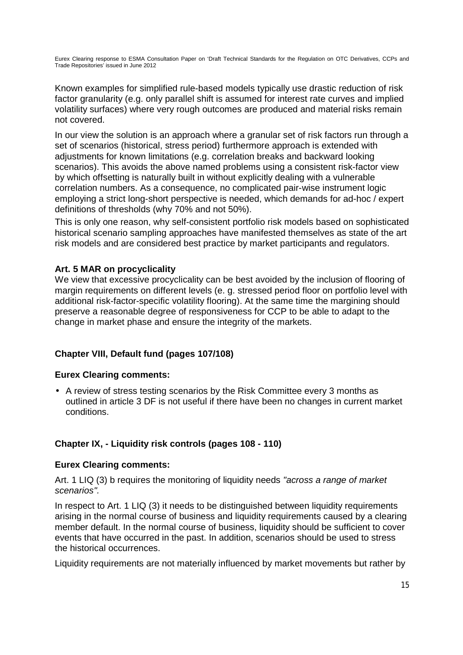Known examples for simplified rule-based models typically use drastic reduction of risk factor granularity (e.g. only parallel shift is assumed for interest rate curves and implied volatility surfaces) where very rough outcomes are produced and material risks remain not covered.

In our view the solution is an approach where a granular set of risk factors run through a set of scenarios (historical, stress period) furthermore approach is extended with adjustments for known limitations (e.g. correlation breaks and backward looking scenarios). This avoids the above named problems using a consistent risk-factor view by which offsetting is naturally built in without explicitly dealing with a vulnerable correlation numbers. As a consequence, no complicated pair-wise instrument logic employing a strict long-short perspective is needed, which demands for ad-hoc / expert definitions of thresholds (why 70% and not 50%).

This is only one reason, why self-consistent portfolio risk models based on sophisticated historical scenario sampling approaches have manifested themselves as state of the art risk models and are considered best practice by market participants and regulators.

# **Art. 5 MAR on procyclicality**

We view that excessive procyclicality can be best avoided by the inclusion of flooring of margin requirements on different levels (e. g. stressed period floor on portfolio level with additional risk-factor-specific volatility flooring). At the same time the margining should preserve a reasonable degree of responsiveness for CCP to be able to adapt to the change in market phase and ensure the integrity of the markets.

# **Chapter VIII, Default fund (pages 107/108)**

# **Eurex Clearing comments:**

• A review of stress testing scenarios by the Risk Committee every 3 months as outlined in article 3 DF is not useful if there have been no changes in current market conditions.

# **Chapter IX, - Liquidity risk controls (pages 108 - 110)**

# **Eurex Clearing comments:**

Art. 1 LIQ (3) b requires the monitoring of liquidity needs *"across a range of market scenarios".* 

In respect to Art. 1 LIQ (3) it needs to be distinguished between liquidity requirements arising in the normal course of business and liquidity requirements caused by a clearing member default. In the normal course of business, liquidity should be sufficient to cover events that have occurred in the past. In addition, scenarios should be used to stress the historical occurrences.

Liquidity requirements are not materially influenced by market movements but rather by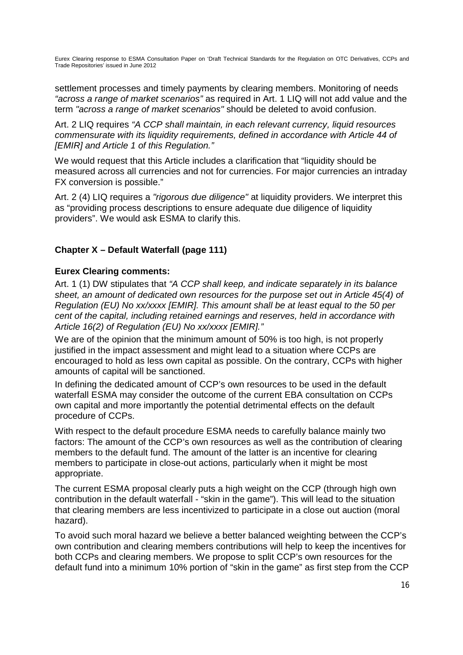settlement processes and timely payments by clearing members. Monitoring of needs *"across a range of market scenarios"* as required in Art. 1 LIQ will not add value and the term *"across a range of market scenarios"* should be deleted to avoid confusion.

Art. 2 LIQ requires *"A CCP shall maintain, in each relevant currency, liquid resources commensurate with its liquidity requirements, defined in accordance with Article 44 of [EMIR] and Article 1 of this Regulation."*

We would request that this Article includes a clarification that "liquidity should be measured across all currencies and not for currencies. For major currencies an intraday FX conversion is possible."

Art. 2 (4) LIQ requires a *"rigorous due diligence"* at liquidity providers. We interpret this as "providing process descriptions to ensure adequate due diligence of liquidity providers". We would ask ESMA to clarify this.

# **Chapter X – Default Waterfall (page 111)**

#### **Eurex Clearing comments:**

Art. 1 (1) DW stipulates that *"A CCP shall keep, and indicate separately in its balance sheet, an amount of dedicated own resources for the purpose set out in Article 45(4) of Regulation (EU) No xx/xxxx [EMIR]. This amount shall be at least equal to the 50 per cent of the capital, including retained earnings and reserves, held in accordance with Article 16(2) of Regulation (EU) No xx/xxxx [EMIR]."*

We are of the opinion that the minimum amount of 50% is too high, is not properly justified in the impact assessment and might lead to a situation where CCPs are encouraged to hold as less own capital as possible. On the contrary, CCPs with higher amounts of capital will be sanctioned.

In defining the dedicated amount of CCP's own resources to be used in the default waterfall ESMA may consider the outcome of the current EBA consultation on CCPs own capital and more importantly the potential detrimental effects on the default procedure of CCPs.

With respect to the default procedure ESMA needs to carefully balance mainly two factors: The amount of the CCP's own resources as well as the contribution of clearing members to the default fund. The amount of the latter is an incentive for clearing members to participate in close-out actions, particularly when it might be most appropriate.

The current ESMA proposal clearly puts a high weight on the CCP (through high own contribution in the default waterfall - "skin in the game"). This will lead to the situation that clearing members are less incentivized to participate in a close out auction (moral hazard).

To avoid such moral hazard we believe a better balanced weighting between the CCP's own contribution and clearing members contributions will help to keep the incentives for both CCPs and clearing members. We propose to split CCP's own resources for the default fund into a minimum 10% portion of "skin in the game" as first step from the CCP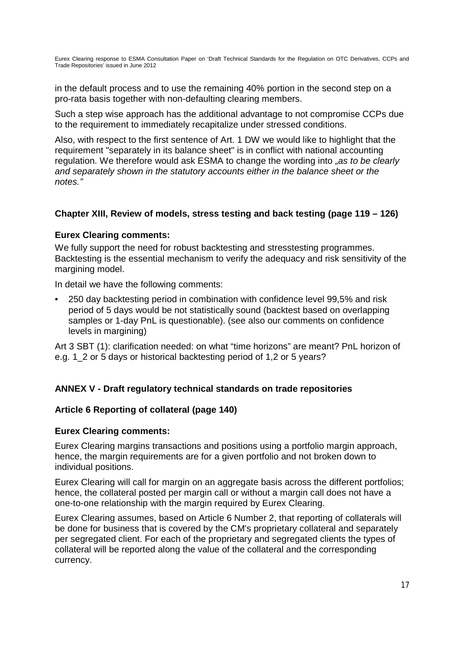in the default process and to use the remaining 40% portion in the second step on a pro-rata basis together with non-defaulting clearing members.

Such a step wise approach has the additional advantage to not compromise CCPs due to the requirement to immediately recapitalize under stressed conditions.

Also, with respect to the first sentence of Art. 1 DW we would like to highlight that the requirement "separately in its balance sheet" is in conflict with national accounting regulation. We therefore would ask ESMA to change the wording into *"as to be clearly and separately shown in the statutory accounts either in the balance sheet or the notes."*

#### **Chapter XIII, Review of models, stress testing and back testing (page 119 – 126)**

#### **Eurex Clearing comments:**

We fully support the need for robust backtesting and stresstesting programmes. Backtesting is the essential mechanism to verify the adequacy and risk sensitivity of the margining model.

In detail we have the following comments:

• 250 day backtesting period in combination with confidence level 99,5% and risk period of 5 days would be not statistically sound (backtest based on overlapping samples or 1-day PnL is questionable). (see also our comments on confidence levels in margining)

Art 3 SBT (1): clarification needed: on what "time horizons" are meant? PnL horizon of e.g. 1\_2 or 5 days or historical backtesting period of 1,2 or 5 years?

# **ANNEX V - Draft regulatory technical standards on trade repositories**

#### **Article 6 Reporting of collateral (page 140)**

#### **Eurex Clearing comments:**

Eurex Clearing margins transactions and positions using a portfolio margin approach, hence, the margin requirements are for a given portfolio and not broken down to individual positions.

Eurex Clearing will call for margin on an aggregate basis across the different portfolios; hence, the collateral posted per margin call or without a margin call does not have a one-to-one relationship with the margin required by Eurex Clearing.

Eurex Clearing assumes, based on Article 6 Number 2, that reporting of collaterals will be done for business that is covered by the CM's proprietary collateral and separately per segregated client. For each of the proprietary and segregated clients the types of collateral will be reported along the value of the collateral and the corresponding currency.